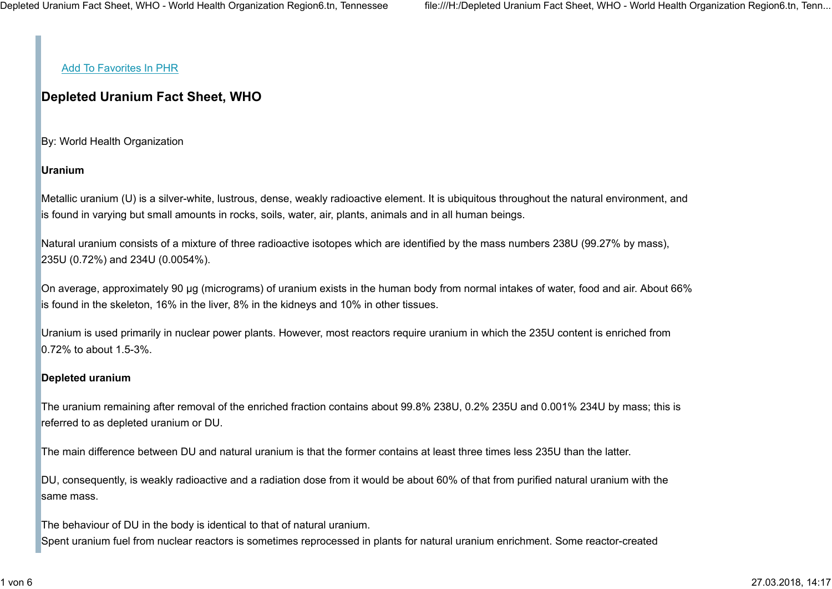### Add To Favorites In PHR

# Depleted Uranium Fact Sheet, WHO

By: World Health Organization

## Uranium

Metallic uranium (U) is a silver-white, lustrous, dense, weakly radioactive element. It is ubiquitous throughout the natural environment, and is found in varying but small amounts in rocks, soils, water, air, plants, animals and in all human beings.

Natural uranium consists of a mixture of three radioactive isotopes which are identified by the mass numbers 238U (99.27% by mass), 235U (0.72%) and 234U (0.0054%).

On average, approximately 90 µg (micrograms) of uranium exists in the human body from normal intakes of water, food and air. About 66% is found in the skeleton, 16% in the liver, 8% in the kidneys and 10% in other tissues.

Uranium is used primarily in nuclear power plants. However, most reactors require uranium in which the 235U content is enriched from 0.72% to about 1.5-3%.

#### Depleted uranium

The uranium remaining after removal of the enriched fraction contains about 99.8% 238U, 0.2% 235U and 0.001% 234U by mass; this is referred to as depleted uranium or DU.

The main difference between DU and natural uranium is that the former contains at least three times less 235U than the latter.

DU, consequently, is weakly radioactive and a radiation dose from it would be about 60% of that from purified natural uranium with the same mass.

The behaviour of DU in the body is identical to that of natural uranium. Spent uranium fuel from nuclear reactors is sometimes reprocessed in plants for natural uranium enrichment. Some reactor-created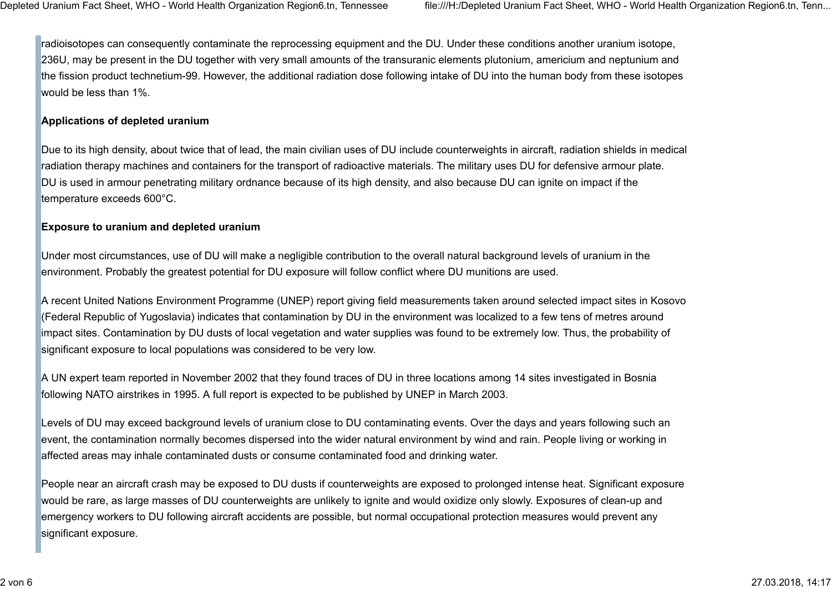radioisotopes can consequently contaminate the reprocessing equipment and the DU. Under these conditions another uranium isotope, 236U, may be present in the DU together with very small amounts of the transuranic elements plutonium, americium and neptunium and the fission product technetium-99. However, the additional radiation dose following intake of DU into the human body from these isotopes would be less than 1%.

#### Applications of depleted uranium

Due to its high density, about twice that of lead, the main civilian uses of DU include counterweights in aircraft, radiation shields in medical radiation therapy machines and containers for the transport of radioactive materials. The military uses DU for defensive armour plate. DU is used in armour penetrating military ordnance because of its high density, and also because DU can ignite on impact if the temperature exceeds 600°C.

### Exposure to uranium and depleted uranium

Under most circumstances, use of DU will make a negligible contribution to the overall natural background levels of uranium in the environment. Probably the greatest potential for DU exposure will follow conflict where DU munitions are used.

A recent United Nations Environment Programme (UNEP) report giving field measurements taken around selected impact sites in Kosovo (Federal Republic of Yugoslavia) indicates that contamination by DU in the environment was localized to a few tens of metres around impact sites. Contamination by DU dusts of local vegetation and water supplies was found to be extremely low. Thus, the probability of significant exposure to local populations was considered to be very low.

A UN expert team reported in November 2002 that they found traces of DU in three locations among 14 sites investigated in Bosnia following NATO airstrikes in 1995. A full report is expected to be published by UNEP in March 2003.

Levels of DU may exceed background levels of uranium close to DU contaminating events. Over the days and years following such an event, the contamination normally becomes dispersed into the wider natural environment by wind and rain. People living or working in affected areas may inhale contaminated dusts or consume contaminated food and drinking water.

People near an aircraft crash may be exposed to DU dusts if counterweights are exposed to prolonged intense heat. Significant exposure would be rare, as large masses of DU counterweights are unlikely to ignite and would oxidize only slowly. Exposures of clean-up and emergency workers to DU following aircraft accidents are possible, but normal occupational protection measures would prevent any significant exposure.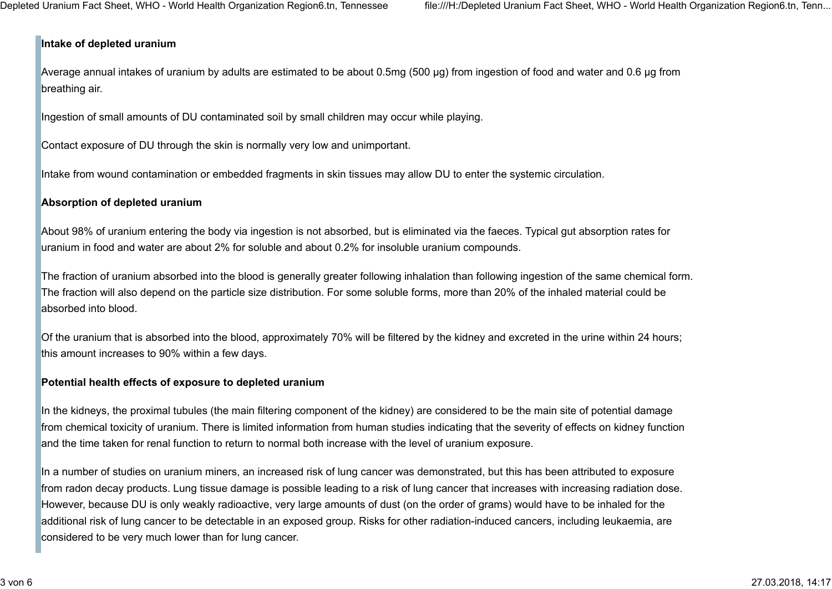### Intake of depleted uranium

Average annual intakes of uranium by adults are estimated to be about 0.5mg (500 μg) from ingestion of food and water and 0.6 μg from breathing air.

Ingestion of small amounts of DU contaminated soil by small children may occur while playing.

Contact exposure of DU through the skin is normally very low and unimportant.

Intake from wound contamination or embedded fragments in skin tissues may allow DU to enter the systemic circulation.

### Absorption of depleted uranium

About 98% of uranium entering the body via ingestion is not absorbed, but is eliminated via the faeces. Typical gut absorption rates for uranium in food and water are about 2% for soluble and about 0.2% for insoluble uranium compounds.

The fraction of uranium absorbed into the blood is generally greater following inhalation than following ingestion of the same chemical form. The fraction will also depend on the particle size distribution. For some soluble forms, more than 20% of the inhaled material could be absorbed into blood.

Of the uranium that is absorbed into the blood, approximately 70% will be filtered by the kidney and excreted in the urine within 24 hours; this amount increases to 90% within a few days.

### Potential health effects of exposure to depleted uranium

In the kidneys, the proximal tubules (the main filtering component of the kidney) are considered to be the main site of potential damage from chemical toxicity of uranium. There is limited information from human studies indicating that the severity of effects on kidney function and the time taken for renal function to return to normal both increase with the level of uranium exposure.

In a number of studies on uranium miners, an increased risk of lung cancer was demonstrated, but this has been attributed to exposure from radon decay products. Lung tissue damage is possible leading to a risk of lung cancer that increases with increasing radiation dose. However, because DU is only weakly radioactive, very large amounts of dust (on the order of grams) would have to be inhaled for the additional risk of lung cancer to be detectable in an exposed group. Risks for other radiation-induced cancers, including leukaemia, are considered to be very much lower than for lung cancer.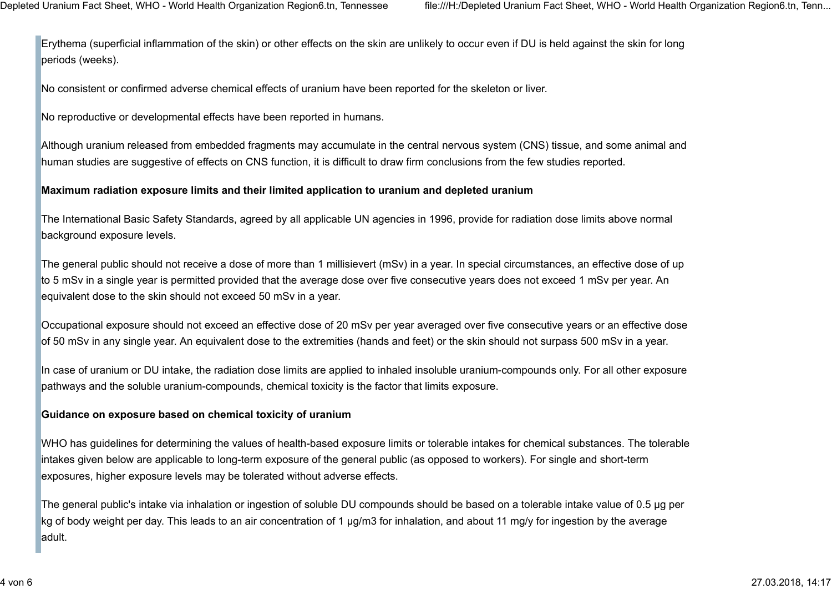Erythema (superficial inflammation of the skin) or other effects on the skin are unlikely to occur even if DU is held against the skin for long periods (weeks).

No consistent or confirmed adverse chemical effects of uranium have been reported for the skeleton or liver.

No reproductive or developmental effects have been reported in humans.

Although uranium released from embedded fragments may accumulate in the central nervous system (CNS) tissue, and some animal and human studies are suggestive of effects on CNS function, it is difficult to draw firm conclusions from the few studies reported.

### Maximum radiation exposure limits and their limited application to uranium and depleted uranium

The International Basic Safety Standards, agreed by all applicable UN agencies in 1996, provide for radiation dose limits above normal background exposure levels.

The general public should not receive a dose of more than 1 millisievert (mSv) in a year. In special circumstances, an effective dose of up to 5 mSv in a single year is permitted provided that the average dose over five consecutive years does not exceed 1 mSv per year. An equivalent dose to the skin should not exceed 50 mSv in a year.

Occupational exposure should not exceed an effective dose of 20 mSv per year averaged over five consecutive years or an effective dose of 50 mSv in any single year. An equivalent dose to the extremities (hands and feet) or the skin should not surpass 500 mSv in a year.

In case of uranium or DU intake, the radiation dose limits are applied to inhaled insoluble uranium-compounds only. For all other exposure pathways and the soluble uranium-compounds, chemical toxicity is the factor that limits exposure.

#### Guidance on exposure based on chemical toxicity of uranium

WHO has guidelines for determining the values of health-based exposure limits or tolerable intakes for chemical substances. The tolerable intakes given below are applicable to long-term exposure of the general public (as opposed to workers). For single and short-term exposures, higher exposure levels may be tolerated without adverse effects.

The general public's intake via inhalation or ingestion of soluble DU compounds should be based on a tolerable intake value of 0.5 µg per kg of body weight per day. This leads to an air concentration of 1 µg/m3 for inhalation, and about 11 mg/y for ingestion by the average adult.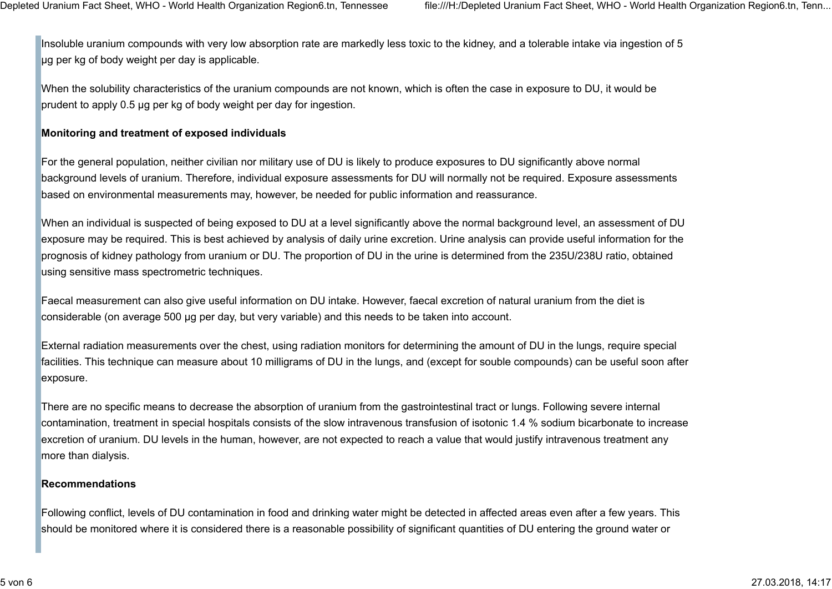Insoluble uranium compounds with very low absorption rate are markedly less toxic to the kidney, and a tolerable intake via ingestion of 5 µg per kg of body weight per day is applicable.

When the solubility characteristics of the uranium compounds are not known, which is often the case in exposure to DU, it would be prudent to apply 0.5 µg per kg of body weight per day for ingestion.

### Monitoring and treatment of exposed individuals

For the general population, neither civilian nor military use of DU is likely to produce exposures to DU significantly above normal background levels of uranium. Therefore, individual exposure assessments for DU will normally not be required. Exposure assessments based on environmental measurements may, however, be needed for public information and reassurance.

When an individual is suspected of being exposed to DU at a level significantly above the normal background level, an assessment of DU exposure may be required. This is best achieved by analysis of daily urine excretion. Urine analysis can provide useful information for the prognosis of kidney pathology from uranium or DU. The proportion of DU in the urine is determined from the 235U/238U ratio, obtained using sensitive mass spectrometric techniques.

Faecal measurement can also give useful information on DU intake. However, faecal excretion of natural uranium from the diet is considerable (on average 500 μg per day, but very variable) and this needs to be taken into account.

External radiation measurements over the chest, using radiation monitors for determining the amount of DU in the lungs, require special facilities. This technique can measure about 10 milligrams of DU in the lungs, and (except for souble compounds) can be useful soon after exposure.

There are no specific means to decrease the absorption of uranium from the gastrointestinal tract or lungs. Following severe internal contamination, treatment in special hospitals consists of the slow intravenous transfusion of isotonic 1.4 % sodium bicarbonate to increase excretion of uranium. DU levels in the human, however, are not expected to reach a value that would justify intravenous treatment any more than dialysis.

#### Recommendations

Following conflict, levels of DU contamination in food and drinking water might be detected in affected areas even after a few years. This should be monitored where it is considered there is a reasonable possibility of significant quantities of DU entering the ground water or